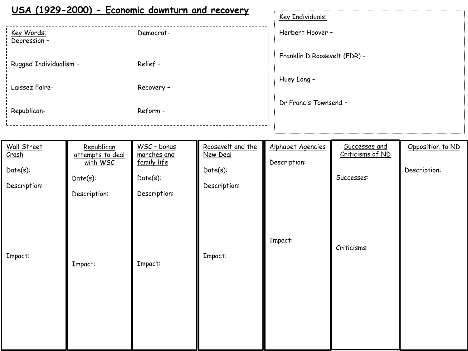#### **USA (1929-2000) - Economic downturn and recovery**

|                            |            | Key Individuals:             |
|----------------------------|------------|------------------------------|
| Key Words:<br>Depression - | Democrat-  | Herbert Hoover -             |
| Rugged Individualism -     | Relief -   | Franklin D Roosevelt (FDR) - |
| Laissez Faire-             | Recovery - | Huey Long -                  |
| Republican-                | Reform -   | Dr Francis Townsend -        |
|                            |            |                              |

| Wall Street<br>Crash<br>Date(s):<br>Description: | Republican<br>attempts to deal<br>with WSC<br>$Date(s)$ :<br>Description: | WSC - bonus<br>marches and<br>family life<br>$Date(s)$ :<br>Description: | Roosevelt and the<br>New Deal<br>Date(s):<br>Description: | Alphabet Agencies<br>Description: | Successes and<br>Criticisms of ND<br>Successes: | Opposition to ND<br>Description: |
|--------------------------------------------------|---------------------------------------------------------------------------|--------------------------------------------------------------------------|-----------------------------------------------------------|-----------------------------------|-------------------------------------------------|----------------------------------|
| Impact:                                          | Impact:                                                                   | Impact:                                                                  | Impact:                                                   | Impact:                           | Criticisms:                                     |                                  |
|                                                  |                                                                           |                                                                          |                                                           |                                   |                                                 |                                  |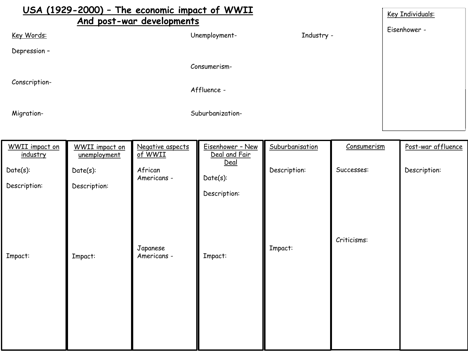| USA (1929-2000) - The economic impact of WWII<br>And post-war developments |                  |            | Key Individuals: |
|----------------------------------------------------------------------------|------------------|------------|------------------|
| Key Words:                                                                 | Unemployment-    | Industry - | Eisenhower -     |
| Depression -                                                               |                  |            |                  |
|                                                                            | Consumerism-     |            |                  |
| Conscription-                                                              | Affluence -      |            |                  |
| Migration-                                                                 | Suburbanization- |            |                  |

| WWII impact on<br>industry  | <b>WWII</b> impact on<br>unemployment | Negative aspects<br>of WWII | Eisenhower - New<br>Deal and Fair<br>Deal | Suburbanisation | Consumerism | Post-war affluence |
|-----------------------------|---------------------------------------|-----------------------------|-------------------------------------------|-----------------|-------------|--------------------|
| $Date(s)$ :<br>Description: | $Date(s)$ :<br>Description:           | African<br>Americans -      | Date(s):<br>Description:                  | Description:    | Successes:  | Description:       |
| Impact:                     | Impact:                               | Japanese<br>Americans -     | Impact:                                   | Impact:         | Criticisms: |                    |
|                             |                                       |                             |                                           |                 |             |                    |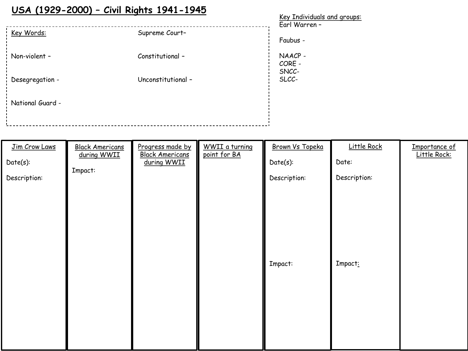# **USA (1929-2000) – Civil Rights 1941-1945**

|                  | $\frac{1}{2}$      | Key Individuals and groups: |
|------------------|--------------------|-----------------------------|
| Key Words:       |                    | Earl Warren -               |
|                  | Supreme Court-     | Faubus -                    |
| Non-violent -    | Constitutional -   | NAACP-<br>CORE -<br>SNCC-   |
| Desegregation -  | Unconstitutional - | SLCC-                       |
| National Guard - |                    |                             |
|                  |                    |                             |

| Jim Crow Laws<br>Date(s):<br>Description: | <b>Black Americans</b><br>during WWII<br>Impact: | Progress made by<br><b>Black Americans</b><br>during WWII | <b>WWII</b> a turning<br>point for BA | Brown Vs Topeka<br>Date(s):<br>Description: | Little Rock<br>Date:<br>Description: | Importance of<br>Little Rock: |
|-------------------------------------------|--------------------------------------------------|-----------------------------------------------------------|---------------------------------------|---------------------------------------------|--------------------------------------|-------------------------------|
|                                           |                                                  |                                                           |                                       | Impact:                                     | Impact:                              |                               |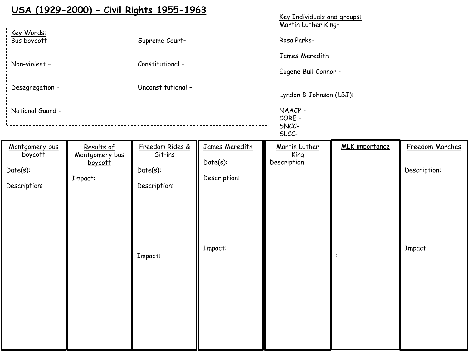#### **USA (1929-2000) – Civil Rights 1955-1963**

| Key Words:<br>Bus boycott -<br>Non-violent -<br>Desegregation -<br>National Guard - |                                                    | Supreme Court-<br>Constitutional -<br>Unconstitutional -  |                                               | Key Individuals and groups:<br>Martin Luther King-<br>Rosa Parks-<br>James Meredith -<br>Eugene Bull Connor -<br>Lyndon B Johnson (LBJ):<br>NAACP-<br>CORE -<br>SNCC-<br>SLCC- |                       |                                 |
|-------------------------------------------------------------------------------------|----------------------------------------------------|-----------------------------------------------------------|-----------------------------------------------|--------------------------------------------------------------------------------------------------------------------------------------------------------------------------------|-----------------------|---------------------------------|
| Montgomery bus<br>boycott<br>$Date(s)$ :<br>Description:                            | Results of<br>Montgomery bus<br>boycott<br>Impact: | Freedom Rides &<br>Sit-ins<br>$Date(s)$ :<br>Description: | James Meredith<br>$Date(s)$ :<br>Description: | Martin Luther<br>King<br>Description:                                                                                                                                          | <b>MLK</b> importance | Freedom Marches<br>Description: |
|                                                                                     |                                                    | Impact:                                                   | Impact:                                       |                                                                                                                                                                                |                       | Impact:                         |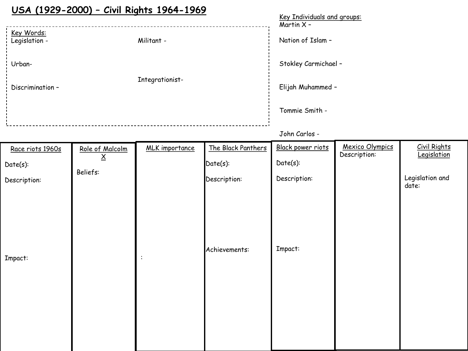# **USA (1929-2000) – Civil Rights 1964-1969**

|                                    |                 | Key Individuals and groups:<br>Martin $X -$ |
|------------------------------------|-----------------|---------------------------------------------|
| <u>Key Words:</u><br>Legislation - | Militant -      | Nation of Islam -                           |
| Urban-                             |                 | Stokley Carmichael -                        |
| Discrimination -                   | Integrationist- | Elijah Muhammed -                           |
|                                    |                 | Tommie Smith -                              |
|                                    |                 | John Carlos -                               |

| Race riots 1960s | Role of Malcolm<br><u>x</u> | <b>MLK</b> importance | The Black Panthers | Black power riots | <b>Mexico Olympics</b><br>Description: | <b>Civil Rights</b><br>Legislation |
|------------------|-----------------------------|-----------------------|--------------------|-------------------|----------------------------------------|------------------------------------|
| Date(s):         | Beliefs:                    |                       | $Date(s)$ :        | $Date(s)$ :       |                                        |                                    |
| Description:     |                             |                       | Description:       | Description:      |                                        | Legislation and<br>date:           |
| Impact:          |                             | :                     | Achievements:      | Impact:           |                                        |                                    |
|                  |                             |                       |                    |                   |                                        |                                    |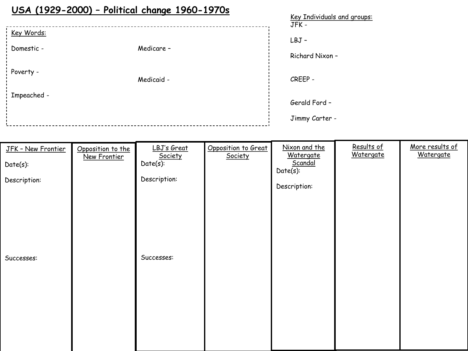## **USA (1929-2000) – Political change 1960-1970s**

|             |            | <u>Key Individuals and groups:</u><br>JFK - |
|-------------|------------|---------------------------------------------|
| Key Words:  |            | LBJ-                                        |
| Domestic -  | Medicare - |                                             |
|             |            | Richard Nixon -                             |
| Poverty -   |            |                                             |
|             | Medicaid - | CREEP -                                     |
| Impeached - |            | Gerald Ford -                               |
|             |            |                                             |
|             |            | Jimmy Carter -                              |

| JFK - New Frontier<br>Date(s):<br>Description: | Opposition to the<br>New Frontier | LBJ's Great<br>Society<br>Date(s):<br>Description: | Opposition to Great<br>Society | Nixon and the<br>Watergate<br>Scandal<br>Date(s):<br>Description: | Results of<br>Watergate | More results of<br>Watergate |
|------------------------------------------------|-----------------------------------|----------------------------------------------------|--------------------------------|-------------------------------------------------------------------|-------------------------|------------------------------|
| Successes:                                     |                                   | Successes:                                         |                                |                                                                   |                         |                              |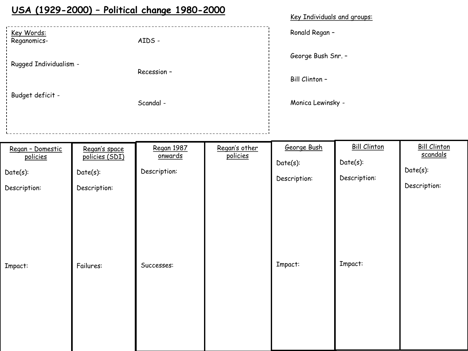### **USA (1929-2000) – Political change 1980-2000**

| Key Individuals and groups: |  |  |
|-----------------------------|--|--|
|                             |  |  |

Ronald Regan –

George Bush Snr. –

Bill Clinton –

Monica Lewinsky -

Budget deficit -

Rugged Individualism -

Key Words: Reganomics-

Scandal -

Recession –

AIDS -

| Regan - Domestic<br>policies | Regan's space<br>policies (SDI) | Regan 1987<br>onwards | Regan's other<br>policies | George Bush<br>$Date(s)$ : | <b>Bill Clinton</b><br>$Date(s)$ : | <b>Bill Clinton</b><br>scandals |
|------------------------------|---------------------------------|-----------------------|---------------------------|----------------------------|------------------------------------|---------------------------------|
| $Date(s)$ :<br>Description:  | $Date(s)$ :<br>Description:     | Description:          |                           | Description:               | Description:                       | $Date(s)$ :<br>Description:     |
| Impact:                      | Failures:                       | Successes:            |                           | Impact:                    | Impact:                            |                                 |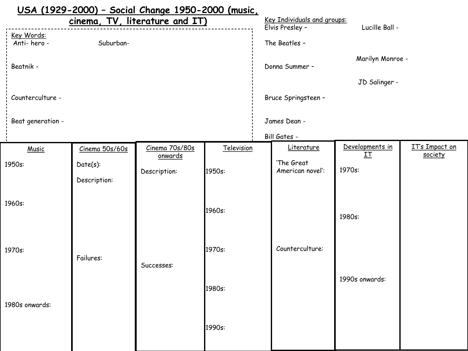|                                |                | <u> USA (1929-2000) - Social Change 1950-2000 (music,</u> |            |  |                                                |                       |                                  |
|--------------------------------|----------------|-----------------------------------------------------------|------------|--|------------------------------------------------|-----------------------|----------------------------------|
| cinema, TV, literature and IT) |                |                                                           |            |  | Key Individuals and groups:<br>Elvis Presley - | Lucille Ball -        |                                  |
| Key Words:<br>Anti-hero-       | Suburban-      |                                                           |            |  | The Beatles -                                  |                       |                                  |
| Beatnik -                      |                |                                                           |            |  | Donna Summer -                                 | Marilyn Monroe -      |                                  |
|                                |                |                                                           |            |  |                                                | JD Salinger -         |                                  |
| Counterculture -               |                |                                                           |            |  | Bruce Springsteen -                            |                       |                                  |
| Beat generation -              |                |                                                           |            |  | James Dean -                                   |                       |                                  |
|                                |                |                                                           |            |  | Bill Gates -                                   |                       |                                  |
| Music                          | Cinema 50s/60s | Cinema 70s/80s                                            | Television |  | Literature                                     | Developments in<br>IΤ | <b>IT's Impact on</b><br>society |
| 1950s:                         | $Date(s)$ :    | onwards                                                   |            |  | 'The Great                                     |                       |                                  |
|                                | Description:   | Description:                                              | 1950s:     |  | American novel:                                | 1970s:                |                                  |
|                                |                |                                                           |            |  |                                                |                       |                                  |
| 1960s:                         |                |                                                           |            |  |                                                |                       |                                  |
|                                |                |                                                           | 1960s:     |  |                                                | 1980s:                |                                  |
|                                |                |                                                           |            |  |                                                |                       |                                  |
|                                |                |                                                           |            |  |                                                |                       |                                  |
| 1970s:                         | Failures:      |                                                           | 1970s:     |  | Counterculture:                                |                       |                                  |
|                                |                | Successes:                                                |            |  |                                                |                       |                                  |
|                                |                |                                                           |            |  |                                                | 1990s onwards:        |                                  |
|                                |                |                                                           | 1980s:     |  |                                                |                       |                                  |
| 1980s onwards:                 |                |                                                           |            |  |                                                |                       |                                  |
|                                |                |                                                           |            |  |                                                |                       |                                  |
|                                |                |                                                           | 1990s:     |  |                                                |                       |                                  |
|                                |                |                                                           |            |  |                                                |                       |                                  |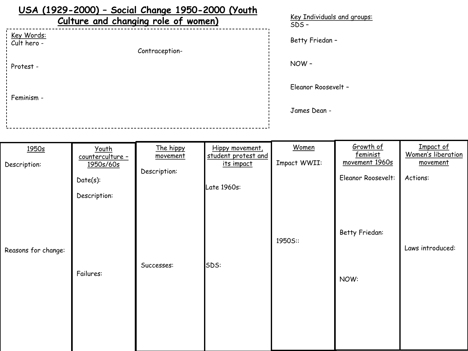| USA (1929-2000) - Social Change 1950-2000 (Youth<br>Culture and changing role of women) | Key Individuals and groups:<br>$SDS -$ |
|-----------------------------------------------------------------------------------------|----------------------------------------|
| Key Words:<br>Cult hero -<br>Contraception-                                             | Betty Friedan -                        |
| Protest -                                                                               | NOW-                                   |
| Feminism -                                                                              | Eleanor Roosevelt -                    |
|                                                                                         | James Dean -                           |
|                                                                                         |                                        |

| Youth<br>counterculture -<br>1950s/60s | The hippy<br>movement | Hippy movement,<br>student protest and<br>its impact | Women<br>Impact WWII: | Growth of<br>feminist<br>movement 1960s | Impact of<br>Women's liberation<br>movement |
|----------------------------------------|-----------------------|------------------------------------------------------|-----------------------|-----------------------------------------|---------------------------------------------|
| Date(s):<br>Description:               |                       |                                                      |                       | Eleanor Roosevelt:                      | Actions:                                    |
| Failures:                              | Successes:            |                                                      | 1950S::               | Betty Friedan:<br>NOW:                  | Laws introduced:                            |
|                                        |                       | Description:                                         | Late 1960s:<br>SDS:   |                                         |                                             |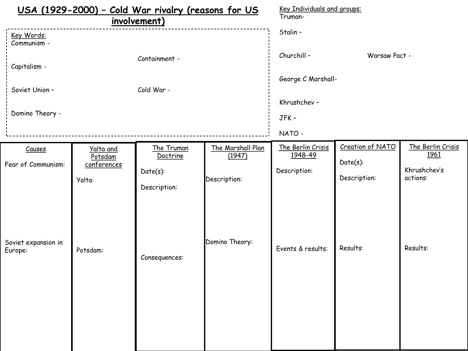| USA (1929-2000) - Cold War rivalry (reasons for US |                                               |                                                       |                                             | Key Individuals and groups:                  |                                                 |                                                       |  |
|----------------------------------------------------|-----------------------------------------------|-------------------------------------------------------|---------------------------------------------|----------------------------------------------|-------------------------------------------------|-------------------------------------------------------|--|
|                                                    |                                               | involvement)                                          | Truman-                                     |                                              |                                                 |                                                       |  |
| Key Words:<br>Communism -                          |                                               |                                                       |                                             | Stalin -                                     |                                                 |                                                       |  |
| Capitalism -                                       |                                               | Containment -                                         |                                             | Churchill-                                   | Warsaw Pact -                                   |                                                       |  |
| Soviet Union -                                     |                                               | Cold War -                                            |                                             | George C Marshall-                           |                                                 |                                                       |  |
|                                                    |                                               |                                                       |                                             | Khrushchev -                                 |                                                 |                                                       |  |
| Domino Theory -                                    |                                               |                                                       |                                             | JFK-                                         |                                                 |                                                       |  |
|                                                    |                                               |                                                       |                                             | NATO -                                       |                                                 |                                                       |  |
| Causes<br>Fear of Communism:                       | Yalta and<br>Potsdam<br>conferences<br>Yalta: | The Truman<br>Doctrine<br>$Date(s)$ :<br>Description: | The Marshall Plan<br>(1947)<br>Description: | The Berlin Crisis<br>1948-49<br>Description: | Creation of NATO<br>$Date(s)$ :<br>Description: | The Berlin Crisis<br>1961<br>Khrushchev's<br>actions: |  |
| Soviet expansion in<br>Europe:                     | Potsdam:                                      | Consequences:                                         | Domino Theory:                              | Events & results:                            | Results:                                        | Results:                                              |  |
|                                                    |                                               |                                                       |                                             |                                              |                                                 |                                                       |  |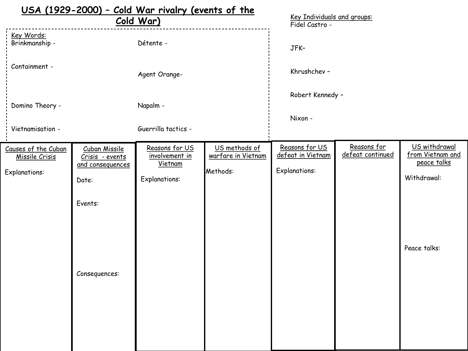|                                                               |                                                                                                  | USA (1929-2000) - Cold War rivalry (events of the<br>Cold War)      |                                                 | Key Individuals and groups:                                 |                                 |                                                                                 |
|---------------------------------------------------------------|--------------------------------------------------------------------------------------------------|---------------------------------------------------------------------|-------------------------------------------------|-------------------------------------------------------------|---------------------------------|---------------------------------------------------------------------------------|
| Key Words:<br>Brinkmanship -                                  |                                                                                                  | Détente -                                                           |                                                 | Fidel Castro -<br>JFK-                                      |                                 |                                                                                 |
| Containment -                                                 |                                                                                                  | Agent Orange-                                                       |                                                 | Khrushchev -                                                |                                 |                                                                                 |
| Domino Theory -                                               |                                                                                                  | Napalm -                                                            |                                                 | Robert Kennedy -                                            |                                 |                                                                                 |
| Vietnamisation -                                              |                                                                                                  | Guerrilla tactics -                                                 |                                                 | Nixon -                                                     |                                 |                                                                                 |
| Causes of the Cuban<br>Missile Crisis<br><b>Explanations:</b> | <b>Cuban Missile</b><br>Crisis - events<br>and consequences<br>Date:<br>Events:<br>Consequences: | Reasons for US<br>involvement in<br>Vietnam<br><b>Explanations:</b> | US methods of<br>warfare in Vietnam<br>Methods: | Reasons for US<br>defeat in Vietnam<br><b>Explanations:</b> | Reasons for<br>defeat continued | US withdrawal<br>from Vietnam and<br>peace talks<br>Withdrawal:<br>Peace talks: |
|                                                               |                                                                                                  |                                                                     |                                                 |                                                             |                                 |                                                                                 |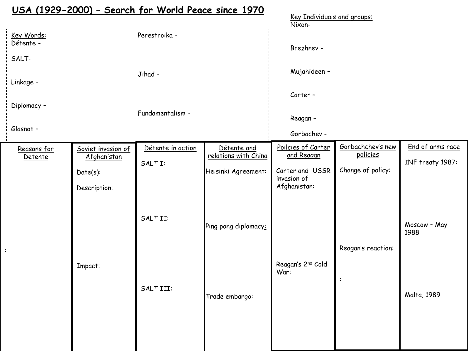|                                |                                   | <u> USA (1929-2000) - Search for World Peace since 1970</u> |                                     | Key Individuals and groups:      |                               |                      |
|--------------------------------|-----------------------------------|-------------------------------------------------------------|-------------------------------------|----------------------------------|-------------------------------|----------------------|
|                                |                                   |                                                             |                                     | Nixon-                           |                               |                      |
| <u>Key Words:</u><br>Détente - |                                   | Perestroika -                                               |                                     | Brezhnev -                       |                               |                      |
| SALT-                          |                                   |                                                             |                                     |                                  |                               |                      |
| Linkage -                      |                                   | Jihad -                                                     |                                     | Mujahideen -                     |                               |                      |
|                                |                                   |                                                             |                                     | Carter-                          |                               |                      |
| Diplomacy -                    |                                   | Fundamentalism -                                            |                                     | Reagan -                         |                               |                      |
| Glasnot -                      |                                   |                                                             |                                     | Gorbachev -                      |                               |                      |
| Reasons for<br>Detente         | Soviet invasion of<br>Afghanistan | Détente in action                                           | Détente and<br>relations with China | Poilcies of Carter<br>and Reagan | Gorbachchev's new<br>policies | End of arms race     |
|                                | $Date(s)$ :                       | SALT I:                                                     | Helsinki Agreement:                 | Carter and USSR<br>invasion of   | Change of policy:             | INF treaty 1987:     |
|                                | Description:                      |                                                             |                                     | Afghanistan:                     |                               |                      |
|                                |                                   | SALTII:                                                     | Ping pong diplomacy:                |                                  |                               | Moscow - May<br>1988 |
|                                |                                   |                                                             |                                     |                                  | Reagan's reaction:            |                      |
|                                | Impact:                           |                                                             |                                     | Reagan's 2nd Cold<br>War:        | $\ddot{\cdot}$                |                      |
|                                |                                   | SALTIII:                                                    | Trade embargo:                      |                                  |                               | Malta, 1989          |
|                                |                                   |                                                             |                                     |                                  |                               |                      |
|                                |                                   |                                                             |                                     |                                  |                               |                      |

: